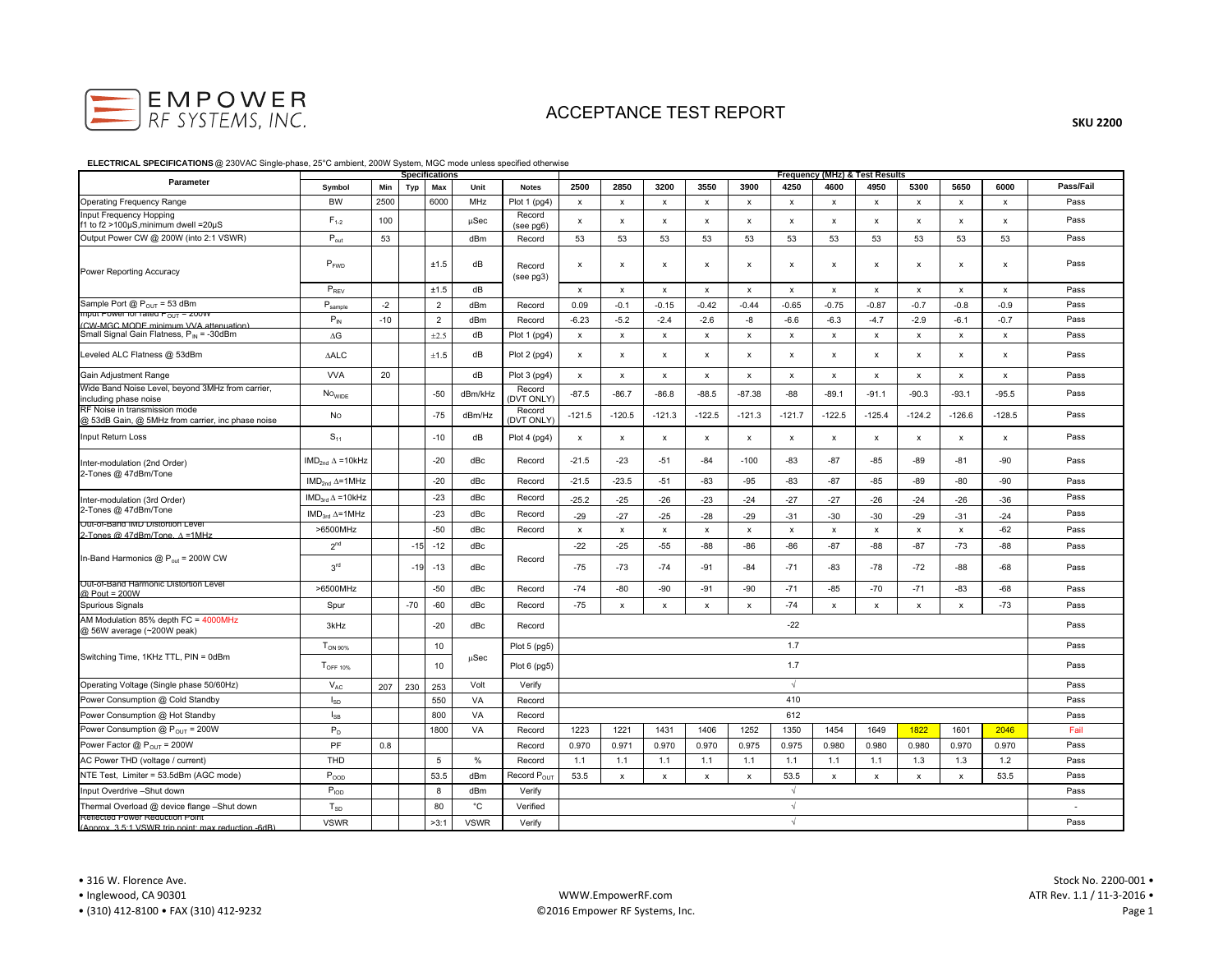

**SKU 2200**

### **ELECTRICAL SPECIFICATIONS** @ 230VAC Single-phase, 25°C ambient, 200W System, MGC mode unless specified otherwise

|                                                                                       | <b>Specifications</b>   |       |       |                | Frequency (MHz) & Test Results |                         |                |                           |                           |                           |                           |                           |                           |                           |                           |                           |                    |           |
|---------------------------------------------------------------------------------------|-------------------------|-------|-------|----------------|--------------------------------|-------------------------|----------------|---------------------------|---------------------------|---------------------------|---------------------------|---------------------------|---------------------------|---------------------------|---------------------------|---------------------------|--------------------|-----------|
| Parameter                                                                             | Symbol                  | Min   | Typ   | Max            | Unit                           | <b>Notes</b>            | 2500           | 2850                      | 3200                      | 3550                      | 3900                      | 4250                      | 4600                      | 4950                      | 5300                      | 5650                      | 6000               | Pass/Fail |
| <b>Operating Frequency Range</b>                                                      | <b>BW</b>               | 2500  |       | 6000           | MHz                            | Plot 1 (pg4)            | $\pmb{\times}$ | $\boldsymbol{\mathsf{x}}$ | x                         | $\boldsymbol{\mathsf{x}}$ | $\boldsymbol{\mathsf{x}}$ | $\boldsymbol{\mathsf{x}}$ | $\mathsf{x}$              | $\mathsf{x}$              | $\boldsymbol{\mathsf{x}}$ | $\mathsf{x}$              | х                  | Pass      |
| Input Frequency Hopping<br>f1 to f2 >100µS, minimum dwell = 20µS                      | $F_{1-2}$               | 100   |       |                | $\mu$ Sec                      | Record<br>(see pg6)     | $\pmb{\times}$ | $\pmb{\chi}$              | $\pmb{\chi}$              | $\pmb{\times}$            | $\boldsymbol{\mathsf{x}}$ | $\mathsf{x}$              | $\mathsf{x}$              | $\mathsf{x}$              | $\pmb{\chi}$              | x                         | $\pmb{\chi}$       | Pass      |
| Output Power CW @ 200W (into 2:1 VSWR)                                                | $P_{\text{out}}$        | 53    |       |                | dBm                            | Record                  | 53             | 53                        | 53                        | 53                        | 53                        | 53                        | 53                        | 53                        | 53                        | 53                        | 53                 | Pass      |
| <b>Power Reporting Accuracy</b>                                                       | $P_{FWD}$               |       |       | ±1.5           | dB                             | Record<br>$(see$ $pg3)$ | x              | x                         | x                         | $\pmb{\times}$            | $\boldsymbol{\mathsf{x}}$ | $\boldsymbol{\mathsf{x}}$ | $\boldsymbol{\mathsf{x}}$ | x                         | x                         | x                         | $\pmb{\mathsf{x}}$ | Pass      |
|                                                                                       | $P_{REV}$               |       |       | ±1.5           | dB                             |                         | $\pmb{\chi}$   | $\pmb{\chi}$              | $\pmb{\chi}$              | $\pmb{\chi}$              | $\boldsymbol{\mathsf{x}}$ | $\boldsymbol{\mathsf{x}}$ | $\mathsf{x}$              | $\mathsf{x}$              | $\pmb{\chi}$              | x                         | $\pmb{\chi}$       | Pass      |
| Sample Port $@P_{OUT} = 53$ dBm                                                       | $P_{\text{sample}}$     | $-2$  |       | 2              | dBm                            | Record                  | 0.09           | $-0.1$                    | $-0.15$                   | $-0.42$                   | $-0.44$                   | $-0.65$                   | $-0.75$                   | $-0.87$                   | $-0.7$                    | $-0.8$                    | $-0.9$             | Pass      |
| mput Power for rated P <sub>OUT</sub> = 200W<br>(CW-MGC MODE minimum VVA attenuation) | $P_{IN}$                | $-10$ |       | $\overline{2}$ | dBm                            | Record                  | $-6.23$        | $-5.2$                    | $-2.4$                    | $-2.6$                    | -8                        | $-6.6$                    | $-6.3$                    | $-4.7$                    | $-2.9$                    | $-6.1$                    | $-0.7$             | Pass      |
| Small Signal Gain Flatness, P <sub>IN</sub> = -30dBm                                  | $\Delta G$              |       |       | $\pm 2.5$      | dB                             | Plot 1 (pg4)            | x              | $\pmb{\mathsf{x}}$        | x                         | $\pmb{\mathsf{x}}$        | $\pmb{\chi}$              | $\pmb{\mathsf{x}}$        | $\pmb{\mathsf{x}}$        | $\pmb{\mathsf{x}}$        | $\pmb{\mathsf{x}}$        | $\pmb{\mathsf{x}}$        | $\pmb{\mathsf{x}}$ | Pass      |
| Leveled ALC Flatness @ 53dBm                                                          | $\Delta\mathsf{ALC}$    |       |       | ±1.5           | dB                             | Plot 2 (pg4)            | х              | х                         | x                         | $\pmb{\times}$            | $\pmb{\times}$            | $\pmb{\mathsf{x}}$        | $\pmb{\mathsf{x}}$        | x                         | x                         | x                         | $\pmb{\mathsf{x}}$ | Pass      |
| Gain Adjustment Range                                                                 | <b>VVA</b>              | 20    |       |                | dB                             | Plot 3 (pg4)            | $\pmb{\times}$ | х                         | x                         | $\boldsymbol{\mathsf{x}}$ | $\boldsymbol{\mathsf{x}}$ | $\boldsymbol{\mathsf{x}}$ | $\mathsf{x}$              | $\boldsymbol{\mathsf{x}}$ | $\mathsf{x}$              | $\boldsymbol{\mathsf{x}}$ | $\pmb{\times}$     | Pass      |
| Wide Band Noise Level, beyond 3MHz from carrier,<br>including phase noise             | No <sub>wide</sub>      |       |       | $-50$          | dBm/kHz                        | Record<br>(DVT ONLY)    | $-87.5$        | $-86.7$                   | $-86.8$                   | $-88.5$                   | $-87.38$                  | $-88$                     | $-89.1$                   | $-91.1$                   | $-90.3$                   | $-93.1$                   | $-95.5$            | Pass      |
| RF Noise in transmission mode<br>@ 53dB Gain, @ 5MHz from carrier, inc phase noise    | No                      |       |       | $-75$          | dBm/Hz                         | Record<br>(DVT ONLY)    | $-121.5$       | $-120.5$                  | $-121.3$                  | $-122.5$                  | $-121.3$                  | $-121.7$                  | $-122.5$                  | $-125.4$                  | $-124.2$                  | $-126.6$                  | $-128.5$           | Pass      |
| Input Return Loss                                                                     | $S_{11}$                |       |       | $-10$          | dB                             | Plot 4 (pg4)            | x              | х                         | $\boldsymbol{\mathsf{x}}$ | $\boldsymbol{\mathsf{x}}$ | x                         | $\boldsymbol{\mathsf{x}}$ | x                         | x                         | x                         | x                         | $\pmb{\times}$     | Pass      |
| Inter-modulation (2nd Order)<br>2-Tones @ 47dBm/Tone                                  | $IMD2nd \Delta = 10kHz$ |       |       | $-20$          | dBc                            | Record                  | $-21.5$        | $-23$                     | $-51$                     | $-84$                     | $-100$                    | $-83$                     | $-87$                     | -85                       | -89                       | $-81$                     | $-90$              | Pass      |
|                                                                                       | $IMD2nd \Delta = 1MHz$  |       |       | $-20$          | dBc                            | Record                  | $-21.5$        | $-23.5$                   | $-51$                     | $-83$                     | $-95$                     | $-83$                     | $-87$                     | $-85$                     | -89                       | -80                       | $-90$              | Pass      |
| Inter-modulation (3rd Order)<br>2-Tones @ 47dBm/Tone                                  | $IMD3rd \Delta = 10kHz$ |       |       | $-23$          | dBc                            | Record                  | $-25.2$        | $-25$                     | $-26$                     | $-23$                     | $-24$                     | $-27$                     | $-27$                     | $-26$                     | $-24$                     | $-26$                     | $-36$              | Pass      |
| Out-or-Band livid distortion Level                                                    | $IMD3rd \Delta = 1MHz$  |       |       | $-23$          | dBc                            | Record                  | $-29$          | $-27$                     | $-25$                     | $-28$                     | $-29$                     | $-31$                     | $-30$                     | $-30$                     | $-29$                     | $-31$                     | $-24$              | Pass      |
| 2-Tones @ 47dBm/Tone, A=1MHz                                                          | >6500MHz                |       |       | $-50$          | dBc                            | Record                  | $\pmb{\chi}$   | $\pmb{\chi}$              | $\boldsymbol{\mathsf{x}}$ | $\boldsymbol{\mathsf{x}}$ | $\boldsymbol{\mathsf{x}}$ | $\mathsf{x}$              | $\boldsymbol{\mathsf{x}}$ | $\mathsf{x}$              | $\mathsf X$               | $\pmb{\chi}$              | $-62$              | Pass      |
| In-Band Harmonics @ P <sub>out</sub> = 200W CW                                        | 2 <sup>nd</sup>         |       | $-15$ | $-12$          | dBc                            | Record                  | $-22$          | $-25$                     | $-55$                     | $-88$                     | $-86$                     | $-86$                     | $-87$                     | $-88$                     | $-87$                     | $-73$                     | $-88$              | Pass      |
|                                                                                       | 3 <sup>rd</sup>         |       | $-19$ | $-13$          | dBc                            |                         | $-75$          | $-73$                     | $-74$                     | $-91$                     | $-84$                     | $-71$                     | $-83$                     | $-78$                     | $-72$                     | $-88$                     | $-68$              | Pass      |
| Out-of-Band Harmonic Distortion Level<br>@ Pout = 200W                                | >6500MHz                |       |       | $-50$          | dBc                            | Record                  | $-74$          | -80                       | $-90$                     | $-91$                     | $-90$                     | $-71$                     | $-85$                     | $-70$                     | $-71$                     | $-83$                     | $-68$              | Pass      |
| Spurious Signals                                                                      | Spur                    |       | $-70$ | $-60$          | dBc                            | Record                  | $-75$          | $\mathsf{x}$              | $\boldsymbol{\mathsf{x}}$ | $\pmb{\times}$            | $\mathsf{x}$              | $-74$                     | $\mathsf{x}$              | $\pmb{\times}$            | $\pmb{\chi}$              | x                         | $-73$              | Pass      |
| AM Modulation 85% depth FC = 4000MHz<br>@ 56W average (~200W peak)                    | 3kHz                    |       |       | $-20$          | dBc                            | Record                  | $-22$          |                           |                           |                           |                           |                           |                           |                           | Pass                      |                           |                    |           |
| Switching Time, 1KHz TTL, PIN = 0dBm                                                  | $T_{ON 90\%}$           |       |       | 10             |                                | Plot 5 (pg5)            | 1.7            |                           |                           |                           |                           |                           |                           |                           |                           |                           | Pass               |           |
|                                                                                       | T <sub>OFF 10%</sub>    |       |       | 10             | uSec                           | Plot 6 (pg5)            | 1.7            |                           |                           |                           |                           |                           |                           |                           |                           | Pass                      |                    |           |
| Operating Voltage (Single phase 50/60Hz)                                              | $V_{AC}$                | 207   | 230   | 253            | Volt                           | Verify                  | $\sqrt{2}$     |                           |                           |                           |                           |                           |                           |                           |                           | Pass                      |                    |           |
| Power Consumption @ Cold Standby                                                      | $I_{SD}$                |       |       | 550            | VA                             | Record                  | 410            |                           |                           |                           |                           |                           |                           |                           | Pass                      |                           |                    |           |
| Power Consumption @ Hot Standby                                                       | $I_{SB}$                |       |       | 800            | VA                             | Record                  | 612            |                           |                           |                           |                           |                           |                           |                           |                           | Pass                      |                    |           |
| Power Consumption $@P_{OUT} = 200W$                                                   | $\mathsf{P}_\mathsf{D}$ |       |       | 1800           | VA                             | Record                  | 1223           | 1221                      | 1431                      | 1406                      | 1252                      | 1350                      | 1454                      | 1649                      | 1822                      | 1601                      | 2046               | Fail      |
| Power Factor $@P_{OUT} = 200W$                                                        | PF                      | 0.8   |       |                |                                | Record                  | 0.970          | 0.971                     | 0.970                     | 0.970                     | 0.975                     | 0.975                     | 0.980                     | 0.980                     | 0.980                     | 0.970                     | 0.970              | Pass      |
| AC Power THD (voltage / current)                                                      | THD                     |       |       | 5              | %                              | Record                  | 1.1            | 1.1                       | 1.1                       | 1.1                       | 1.1                       | 1.1                       | 1.1                       | 1.1                       | 1.3                       | 1.3                       | 1.2                | Pass      |
| NTE Test, Limiter = 53.5dBm (AGC mode)                                                | $P_{OOD}$               |       |       | 53.5           | dBm                            | Record P <sub>ou</sub>  | 53.5           | $\boldsymbol{\mathsf{x}}$ | x                         | $\pmb{\times}$            | $\boldsymbol{\mathsf{x}}$ | 53.5                      | $\boldsymbol{\mathsf{x}}$ | $\mathsf{x}$              | $\mathsf{x}$              | $\boldsymbol{\mathsf{x}}$ | 53.5               | Pass      |
| Input Overdrive -Shut down                                                            | $P_{IOD}$               |       |       | 8              | dBm                            | Verify                  | $\sqrt{2}$     |                           |                           |                           |                           |                           |                           |                           | Pass                      |                           |                    |           |
| Thermal Overload @ device flange -Shut down                                           | $T_{SD}$                |       |       | 80             | $^{\circ}$ C                   | Verified                | $\sqrt{ }$     |                           |                           |                           |                           |                           |                           |                           | ٠                         |                           |                    |           |
| Reflected Power Reduction Point<br>(Annrox 3.5:1 VSWR trin noint: max reduction -6dB) | <b>VSWR</b>             |       |       | >3:1           | <b>VSWR</b>                    | Verify                  | $\sqrt{ }$     |                           |                           |                           |                           |                           |                           | Pass                      |                           |                           |                    |           |

• (310) 412‐8100 • FAX (310) 412‐9232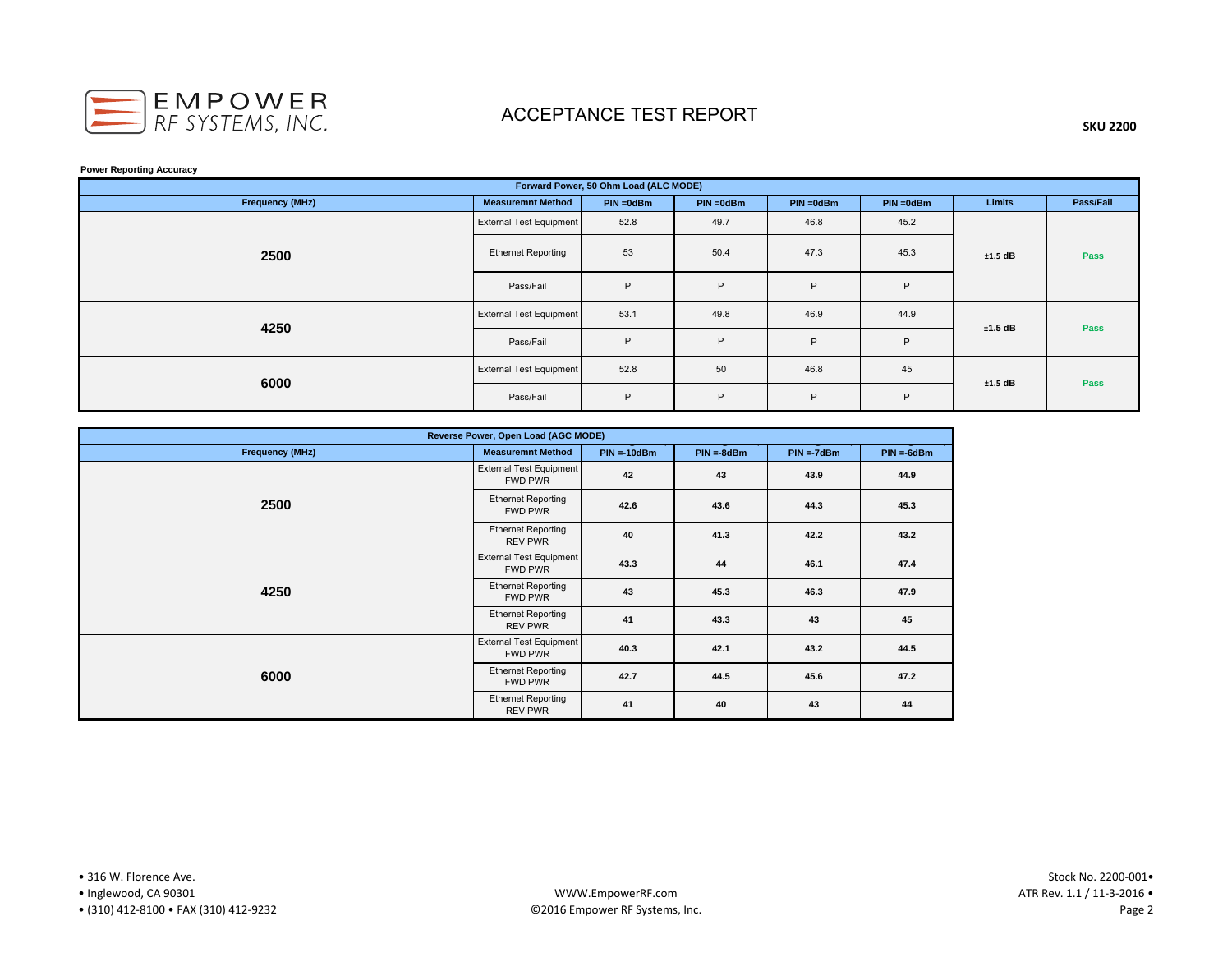

### **SKU 2200**

#### **Power Reporting Accuracy**

| Forward Power, 50 Ohm Load (ALC MODE) |                                |              |              |              |              |           |           |  |  |  |
|---------------------------------------|--------------------------------|--------------|--------------|--------------|--------------|-----------|-----------|--|--|--|
| <b>Frequency (MHz)</b>                | <b>Measuremnt Method</b>       | $PIN = 0dBm$ | $PIN = 0dBm$ | $PIN = 0dBm$ | $PIN = 0dBm$ | Limits    | Pass/Fail |  |  |  |
|                                       | <b>External Test Equipment</b> | 52.8         | 49.7         | 46.8         | 45.2         |           | Pass      |  |  |  |
| 2500                                  | <b>Ethernet Reporting</b>      | 53           | 50.4         | 47.3         | 45.3         | $±1.5$ dB |           |  |  |  |
|                                       | Pass/Fail                      | P            | P            | P            | P            |           |           |  |  |  |
| 4250                                  | <b>External Test Equipment</b> | 53.1         | 49.8         | 46.9         | 44.9         | ±1.5 dB   | Pass      |  |  |  |
|                                       | Pass/Fail                      | P            | P            | P            | P            |           |           |  |  |  |
| 6000                                  | <b>External Test Equipment</b> | 52.8         | 50           | 46.8         | 45           | $±1.5$ dB | Pass      |  |  |  |
|                                       | Pass/Fail                      | P            | P            | P            | P            |           |           |  |  |  |

| Reverse Power, Open Load (AGC MODE) |                                                  |               |              |              |              |  |  |  |  |  |
|-------------------------------------|--------------------------------------------------|---------------|--------------|--------------|--------------|--|--|--|--|--|
| <b>Frequency (MHz)</b>              | <b>Measuremnt Method</b>                         | $PIN = 10dBm$ | $PIN = 8dBm$ | $PIN = 7dBm$ | $PIN = 6dBm$ |  |  |  |  |  |
|                                     | <b>External Test Equipment</b><br><b>FWD PWR</b> | 42            | 43           | 43.9         | 44.9         |  |  |  |  |  |
| 2500                                | <b>Ethernet Reporting</b><br>FWD PWR             | 42.6          | 43.6         | 44.3         | 45.3         |  |  |  |  |  |
|                                     | <b>Ethernet Reporting</b><br><b>REV PWR</b>      | 40            | 41.3         | 42.2         | 43.2         |  |  |  |  |  |
|                                     | <b>External Test Equipment</b><br>FWD PWR        | 43.3          | 44           | 46.1         | 47.4         |  |  |  |  |  |
| 4250                                | <b>Ethernet Reporting</b><br>FWD PWR             | 43            | 45.3         | 46.3         | 47.9         |  |  |  |  |  |
|                                     | <b>Ethernet Reporting</b><br>REV PWR             | 41            | 43.3         | 43           | 45           |  |  |  |  |  |
|                                     | <b>External Test Equipment</b><br><b>FWD PWR</b> | 40.3          | 42.1         | 43.2         | 44.5         |  |  |  |  |  |
| 6000                                | <b>Ethernet Reporting</b><br>FWD PWR             | 42.7          | 44.5         | 45.6         | 47.2         |  |  |  |  |  |
|                                     | <b>Ethernet Reporting</b><br><b>REV PWR</b>      | 41            | 40           | 43           | 44           |  |  |  |  |  |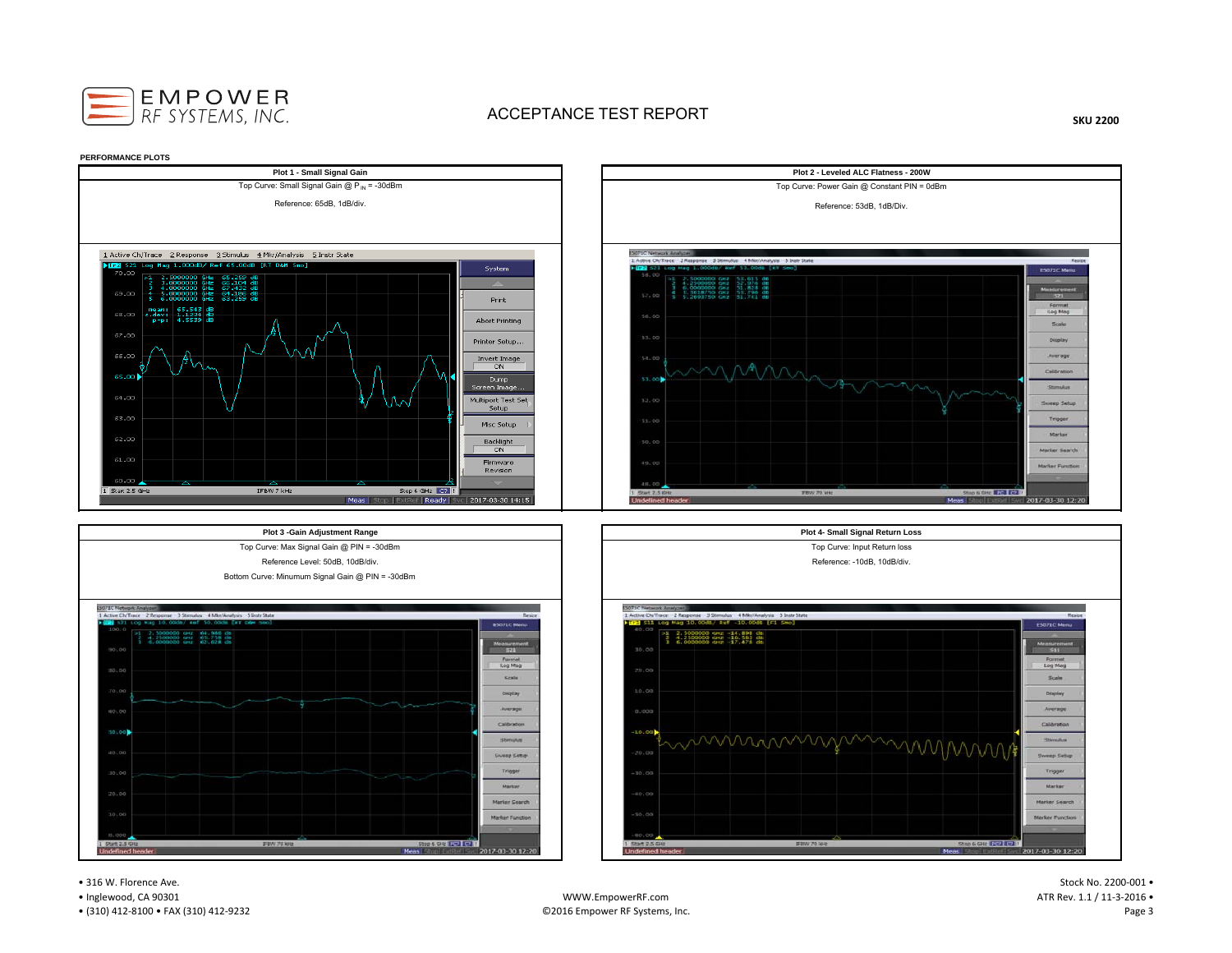

**SKU 2200**



• 316 W. Florence Ave.

• Inglewood, CA 90301

• (310) 412‐8100 • FAX (310) 412‐9232